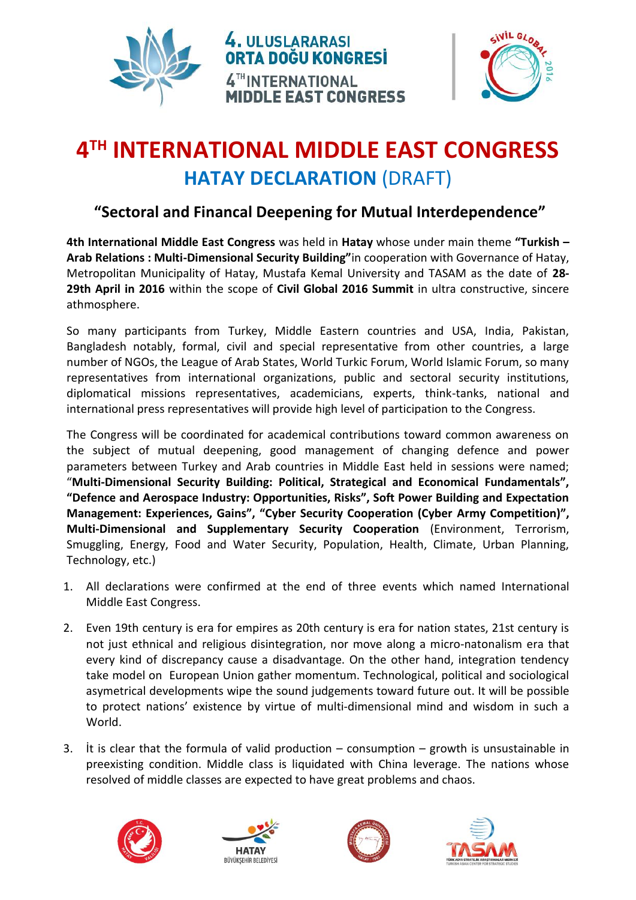



## **4 TH INTERNATIONAL MIDDLE EAST CONGRESS HATAY DECLARATION** (DRAFT)

## **"Sectoral and Financal Deepening for Mutual Interdependence"**

**4th International Middle East Congress** was held in **Hatay** whose under main theme **"Turkish – Arab Relations : Multi-Dimensional Security Building"**in cooperation with Governance of Hatay, Metropolitan Municipality of Hatay, Mustafa Kemal University and TASAM as the date of **28- 29th April in 2016** within the scope of **Civil Global 2016 Summit** in ultra constructive, sincere athmosphere.

So many participants from Turkey, Middle Eastern countries and USA, India, Pakistan, Bangladesh notably, formal, civil and special representative from other countries, a large number of NGOs, the League of Arab States, World Turkic Forum, World Islamic Forum, so many representatives from international organizations, public and sectoral security institutions, diplomatical missions representatives, academicians, experts, think-tanks, national and international press representatives will provide high level of participation to the Congress.

The Congress will be coordinated for academical contributions toward common awareness on the subject of mutual deepening, good management of changing defence and power parameters between Turkey and Arab countries in Middle East held in sessions were named; "**Multi-Dimensional Security Building: Political, Strategical and Economical Fundamentals", "Defence and Aerospace Industry: Opportunities, Risks", Soft Power Building and Expectation Management: Experiences, Gains", "Cyber Security Cooperation (Cyber Army Competition)", Multi-Dimensional and Supplementary Security Cooperation** (Environment, Terrorism, Smuggling, Energy, Food and Water Security, Population, Health, Climate, Urban Planning, Technology, etc.)

- 1. All declarations were confirmed at the end of three events which named International Middle East Congress.
- 2. Even 19th century is era for empires as 20th century is era for nation states, 21st century is not just ethnical and religious disintegration, nor move along a micro-natonalism era that every kind of discrepancy cause a disadvantage. On the other hand, integration tendency take model on European Union gather momentum. Technological, political and sociological asymetrical developments wipe the sound judgements toward future out. It will be possible to protect nations' existence by virtue of multi-dimensional mind and wisdom in such a World.
- 3. It is clear that the formula of valid production  $-$  consumption  $-$  growth is unsustainable in preexisting condition. Middle class is liquidated with China leverage. The nations whose resolved of middle classes are expected to have great problems and chaos.







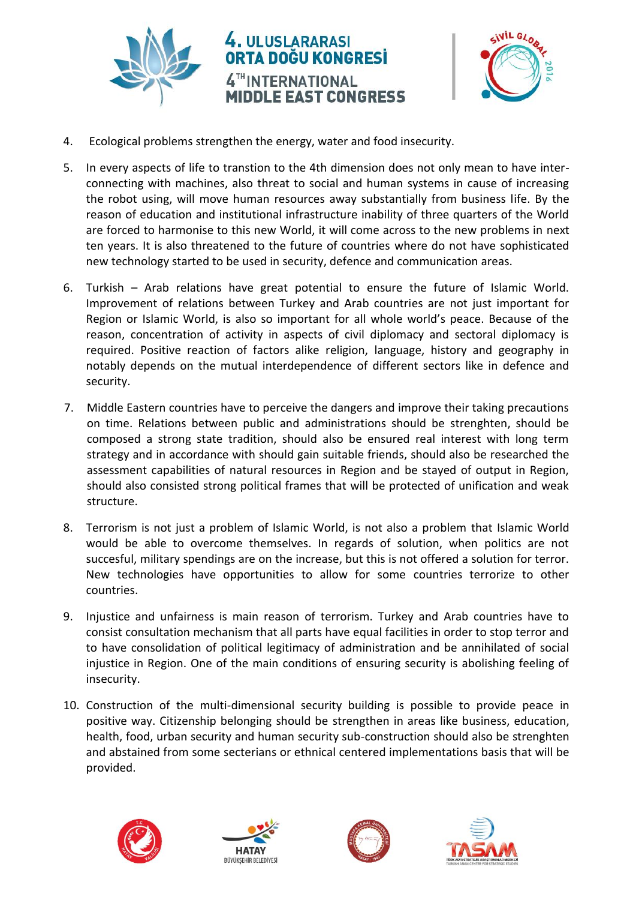



- 4. Ecological problems strengthen the energy, water and food insecurity.
- 5. In every aspects of life to transtion to the 4th dimension does not only mean to have interconnecting with machines, also threat to social and human systems in cause of increasing the robot using, will move human resources away substantially from business life. By the reason of education and institutional infrastructure inability of three quarters of the World are forced to harmonise to this new World, it will come across to the new problems in next ten years. It is also threatened to the future of countries where do not have sophisticated new technology started to be used in security, defence and communication areas.
- 6. Turkish Arab relations have great potential to ensure the future of Islamic World. Improvement of relations between Turkey and Arab countries are not just important for Region or Islamic World, is also so important for all whole world's peace. Because of the reason, concentration of activity in aspects of civil diplomacy and sectoral diplomacy is required. Positive reaction of factors alike religion, language, history and geography in notably depends on the mutual interdependence of different sectors like in defence and security.
- 7. Middle Eastern countries have to perceive the dangers and improve their taking precautions on time. Relations between public and administrations should be strenghten, should be composed a strong state tradition, should also be ensured real interest with long term strategy and in accordance with should gain suitable friends, should also be researched the assessment capabilities of natural resources in Region and be stayed of output in Region, should also consisted strong political frames that will be protected of unification and weak structure.
- 8. Terrorism is not just a problem of Islamic World, is not also a problem that Islamic World would be able to overcome themselves. In regards of solution, when politics are not succesful, military spendings are on the increase, but this is not offered a solution for terror. New technologies have opportunities to allow for some countries terrorize to other countries.
- 9. Injustice and unfairness is main reason of terrorism. Turkey and Arab countries have to consist consultation mechanism that all parts have equal facilities in order to stop terror and to have consolidation of political legitimacy of administration and be annihilated of social injustice in Region. One of the main conditions of ensuring security is abolishing feeling of insecurity.
- 10. Construction of the multi-dimensional security building is possible to provide peace in positive way. Citizenship belonging should be strengthen in areas like business, education, health, food, urban security and human security sub-construction should also be strenghten and abstained from some secterians or ethnical centered implementations basis that will be provided.







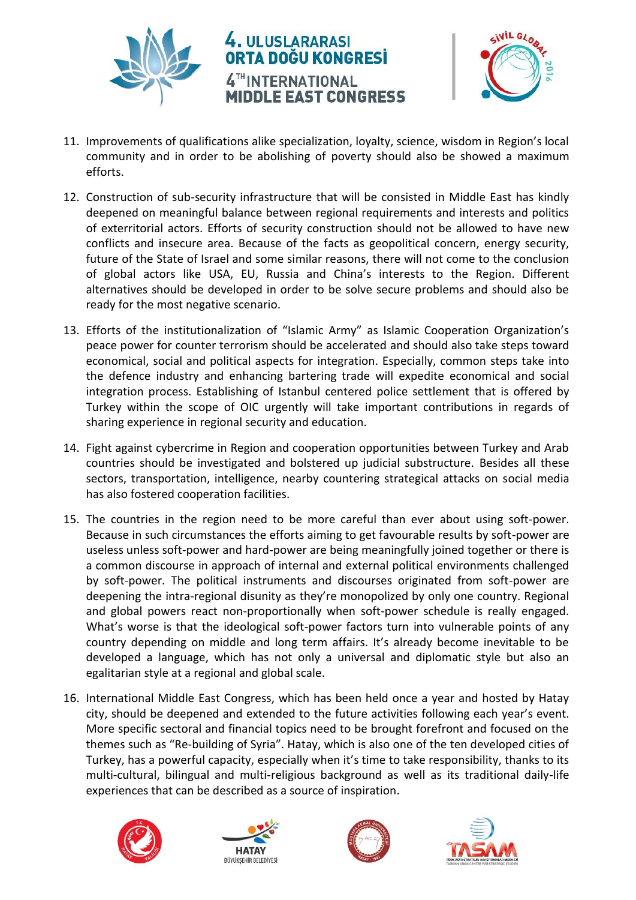

## 4. ULUSLARARASI ORTA DOĞU KONGRESİ 4TH INTERNATIONAL **MIDDLE EAST CONGRESS**



- 11. Improvements of qualifications alike specialization, loyalty, science, wisdom in Region's local community and in order to be abolishing of poverty should also be showed a maximum efforts.
- 12. Construction of sub-security infrastructure that will be consisted in Middle East has kindly deepened on meaningful balance between regional requirements and interests and politics of exterritorial actors. Efforts of security construction should not be allowed to have new conflicts and insecure area. Because of the facts as geopolitical concern, energy security, future of the State of Israel and some similar reasons, there will not come to the conclusion of global actors like USA, EU, Russia and China's interests to the Region. Different alternatives should be developed in order to be solve secure problems and should also be ready for the most negative scenario.
- 13. Efforts of the institutionalization of "Islamic Army" as Islamic Cooperation Organization's peace power for counter terrorism should be accelerated and should also take steps toward economical, social and political aspects for integration. Especially, common steps take into the defence industry and enhancing bartering trade will expedite economical and social integration process. Establishing of Istanbul centered police settlement that is offered by Turkey within the scope of OIC urgently will take important contributions in regards of sharing experience in regional security and education.
- 14. Fight against cybercrime in Region and cooperation opportunities between Turkey and Arab countries should be investigated and bolstered up judicial substructure. Besides all these sectors, transportation, intelligence, nearby countering strategical attacks on social media has also fostered cooperation facilities.
- 15. The countries in the region need to be more careful than ever about using soft-power. Because in such circumstances the efforts aiming to get favourable results by soft-power are useless unless soft-power and hard-power are being meaningfully joined together or there is a common discourse in approach of internal and external political environments challenged by soft-power. The political instruments and discourses originated from soft-power are deepening the intra-regional disunity as they're monopolized by only one country. Regional and global powers react non-proportionally when soft-power schedule is really engaged. What's worse is that the ideological soft-power factors turn into vulnerable points of any country depending on middle and long term affairs. It's already become inevitable to be developed a language, which has not only a universal and diplomatic style but also an egalitarian style at a regional and global scale.
- 16. International Middle East Congress, which has been held once a year and hosted by Hatay city, should be deepened and extended to the future activities following each year's event. More specific sectoral and financial topics need to be brought forefront and focused on the themes such as "Re-building of Syria". Hatay, which is also one of the ten developed cities of Turkey, has a powerful capacity, especially when it's time to take responsibility, thanks to its multi-cultural, bilingual and multi-religious background as well as its traditional daily-life experiences that can be described as a source of inspiration.